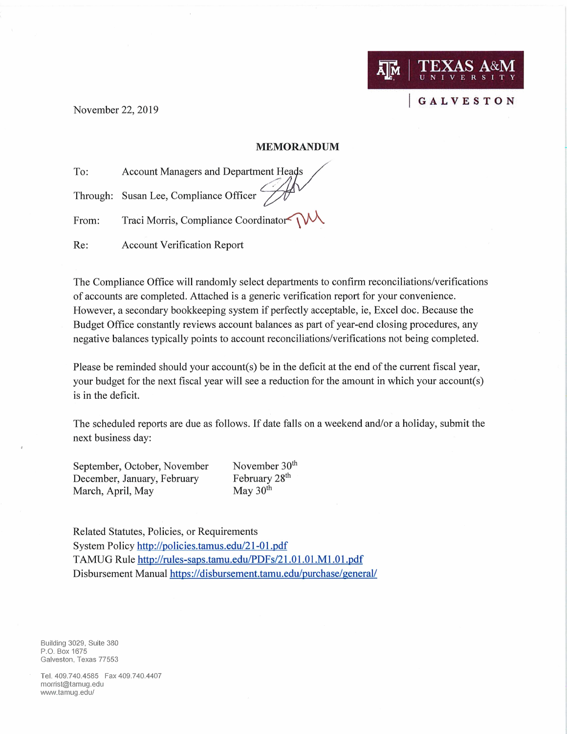November 22, 2019

## **MEMORANDUM**

Ā|Й

**GALVESTON** 

To: **Account Managers and Department Heads** 

Through: Susan Lee, Compliance Officer

Traci Morris, Compliance Coordinator From:

**Account Verification Report** Re:

The Compliance Office will randomly select departments to confirm reconciliations/verifications of accounts are completed. Attached is a generic verification report for your convenience. However, a secondary bookkeeping system if perfectly acceptable, ie, Excel doc. Because the Budget Office constantly reviews account balances as part of year-end closing procedures, any negative balances typically points to account reconciliations/verifications not being completed.

Please be reminded should your account(s) be in the deficit at the end of the current fiscal year, your budget for the next fiscal year will see a reduction for the amount in which your account(s) is in the deficit.

The scheduled reports are due as follows. If date falls on a weekend and/or a holiday, submit the next business day:

September, October, November December, January, February May 30<sup>th</sup> March, April, May

November 30<sup>th</sup> February 28<sup>th</sup>

Related Statutes, Policies, or Requirements System Policy http://policies.tamus.edu/21-01.pdf TAMUG Rule http://rules-saps.tamu.edu/PDFs/21.01.01.M1.01.pdf Disbursement Manual https://disbursement.tamu.edu/purchase/general/

Building 3029, Suite 380 P.O. Box 1675 Galveston, Texas 77553

Tel. 409.740.4585 Fax 409.740.4407 morrist@tamug.edu www.tamug.edu/